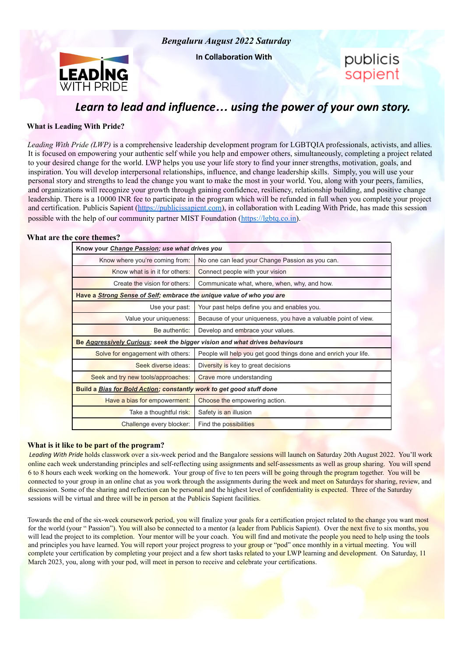

**In Collaboration With**



publicis sapient

# *Learn to lead and influence… using the power of your own story.*

### **What is Leading With Pride?**

*Leading With Pride (LWP)* is a comprehensive leadership development program for LGBTQIA professionals, activists, and allies. It is focused on empowering your authentic self while you help and empower others, simultaneously, completing a project related to your desired change for the world. LWP helps you use your life story to find your inner strengths, motivation, goals, and inspiration. You will develop interpersonal relationships, influence, and change leadership skills. Simply, you will use your personal story and strengths to lead the change you want to make the most in your world. You, along with your peers, families, and organizations will recognize your growth through gaining confidence, resiliency, relationship building, and positive change leadership. There is a 10000 INR fee to participate in the program which will be refunded in full when you complete your project and certification. Publicis Sapient (<https://publicissapient.com>), in collaboration with Leading With Pride, has made this session possible with the help of our community partner MIST Foundation (https://lgbtq.co.in).

#### **What are the core themes?**

| Know your Change Passion; use what drives you                               |                                                                 |  |  |
|-----------------------------------------------------------------------------|-----------------------------------------------------------------|--|--|
| Know where you're coming from:                                              | No one can lead your Change Passion as you can.                 |  |  |
| Know what is in it for others:                                              | Connect people with your vision                                 |  |  |
| Create the vision for others:                                               | Communicate what, where, when, why, and how.                    |  |  |
| Have a Strong Sense of Self; embrace the unique value of who you are        |                                                                 |  |  |
| Use your past:                                                              | Your past helps define you and enables you.                     |  |  |
| Value your uniqueness:                                                      | Because of your uniqueness, you have a valuable point of view.  |  |  |
| Be authentic:                                                               | Develop and embrace your values.                                |  |  |
| Be Aggressively Curious; seek the bigger vision and what drives behaviours  |                                                                 |  |  |
| Solve for engagement with others:                                           | People will help you get good things done and enrich your life. |  |  |
| Seek diverse ideas:                                                         | Diversity is key to great decisions                             |  |  |
| Seek and try new tools/approaches:                                          | Crave more understanding                                        |  |  |
| <b>Build a Bias for Bold Action; constantly work to get good stuff done</b> |                                                                 |  |  |
| Have a bias for empowerment:                                                | Choose the empowering action.                                   |  |  |
| Take a thoughtful risk:                                                     | Safety is an illusion                                           |  |  |
| Challenge every blocker:                                                    | Find the possibilities                                          |  |  |

#### **What is it like to be part of the program?**

*Leading With Pride* holds classwork over a six-week period and the Bangalore sessions will launch on Saturday 20th August 2022. You'll work online each week understanding principles and self-reflecting using assignments and self-assessments as well as group sharing. You will spend 6 to 8 hours each week working on the homework. Your group of five to ten peers will be going through the program together. You will be connected to your group in an online chat as you work through the assignments during the week and meet on Saturdays for sharing, review, and discussion. Some of the sharing and reflection can be personal and the highest level of confidentiality is expected. Three of the Saturday sessions will be virtual and three will be in person at the Publicis Sapient facilities.

Towards the end of the six-week coursework period, you will finalize your goals for a certification project related to the change you want most for the world (your "Passion"). You will also be connected to a mentor (a leader from Publicis Sapient). Over the next five to six months, you will lead the project to its completion. Your mentor will be your coach. You will find and motivate the people you need to help using the tools and principles you have learned. You will report your project progress to your group or "pod" once monthly in a virtual meeting. You will complete your certification by completing your project and a few short tasks related to your LWP learning and development. On Saturday, 11 March 2023, you, along with your pod, will meet in person to receive and celebrate your certifications.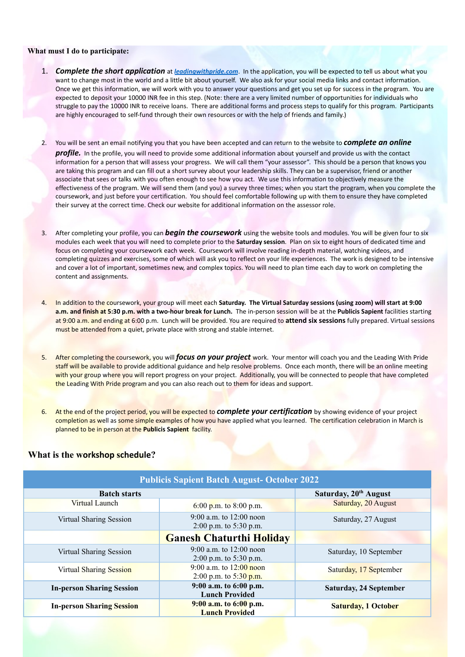#### **What must I do to participate:**

- 1. *Complete the short application* at *leadingwithpride.com*. In the application, you will be expected to tell us about what you want to change most in the world and a little bit about yourself. We also ask for your social media links and contact information. Once we get this information, we will work with you to answer your questions and get you set up for success in the program. You are expected to deposit your 10000 INR fee in this step. (Note: there are a very limited number of opportunities for individuals who struggle to pay the 10000 INR to receive loans. There are additional forms and process steps to qualify for this program. Participants are highly encouraged to self-fund through their own resources or with the help of friends and family.)
- 2. You will be sent an email notifying you that you have been accepted and can return to the website to *complete an online profile.* In the profile, you will need to provide some additional information about yourself and provide us with the contact information for a person that will assess your progress. We will call them "your assessor". This should be a person that knows you are taking this program and can fill out a short survey about your leadership skills. They can be a supervisor, friend or another associate that sees or talks with you often enough to see how you act. We use this information to objectively measure the effectiveness of the program. We will send them (and you) a survey three times; when you start the program, when you complete the coursework, and just before your certification. You should feel comfortable following up with them to ensure they have completed their survey at the correct time. Check our website for additional information on the assessor role.
- 3. After completing your profile, you can *begin the coursework* using the website tools and modules. You will be given four to six modules each week that you will need to complete prior to the **Saturday session**. Plan on six to eight hours of dedicated time and focus on completing your coursework each week. Coursework will involve reading in-depth material, watching videos, and completing quizzes and exercises, some of which will ask you to reflect on your life experiences. The work is designed to be intensive and cover a lot of important, sometimes new, and complex topics. You will need to plan time each day to work on completing the content and assignments.
- 4. In addition to the coursework, your group will meet each **Saturday. The Virtual Saturday sessions (using zoom) will start at 9:00 a.m. and finish at 5:30 p.m. with a two-hour break for Lunch.** The in-person session will be at the **Publicis Sapient** facilities starting at 9:00 a.m. and ending at 6:00 p.m. Lunch will be provided. You are required to **attend six sessions** fully prepared. Virtual sessions must be attended from a quiet, private place with strong and stable internet.
- 5. After completing the coursework, you will *focus on your project* work. Your mentor will coach you and the Leading With Pride staff will be available to provide additional guidance and help resolve problems. Once each month, there will be an online meeting with your group where you will report progress on your project. Additionally, you will be connected to people that have completed the Leading With Pride program and you can also reach out to them for ideas and support.
- 6. At the end of the project period, you will be expected to *complete your certification* by showing evidence of your project completion as well as some simple examples of how you have applied what you learned. The certification celebration in March is planned to be in person at the **Publicis Sapient** facility.

## **What is the workshop schedule?**

| <b>Publicis Sapient Batch August- October 2022</b> |                                                       |                                   |  |
|----------------------------------------------------|-------------------------------------------------------|-----------------------------------|--|
| <b>Batch starts</b>                                |                                                       | Saturday, 20 <sup>th</sup> August |  |
| Virtual Launch                                     | 6:00 p.m. to 8:00 p.m.                                | Saturday, 20 August               |  |
| Virtual Sharing Session                            | 9:00 a.m. to $12:00$ noon<br>$2:00$ p.m. to 5:30 p.m. | Saturday, 27 August               |  |
|                                                    | <b>Ganesh Chaturthi Holiday</b>                       |                                   |  |
| Virtual Sharing Session                            | 9:00 a.m. to $12:00$ noon<br>$2:00$ p.m. to 5:30 p.m. | Saturday, 10 September            |  |
| <b>Virtual Sharing Session</b>                     | 9:00 a.m. to $12:00$ noon<br>2:00 p.m. to 5:30 p.m.   | Saturday, 17 September            |  |
| <b>In-person Sharing Session</b>                   | 9:00 a.m. to 6:00 p.m.<br><b>Lunch Provided</b>       | <b>Saturday, 24 September</b>     |  |
| <b>In-person Sharing Session</b>                   | $9:00$ a.m. to $6:00$ p.m.<br><b>Lunch Provided</b>   | <b>Saturday, 1 October</b>        |  |